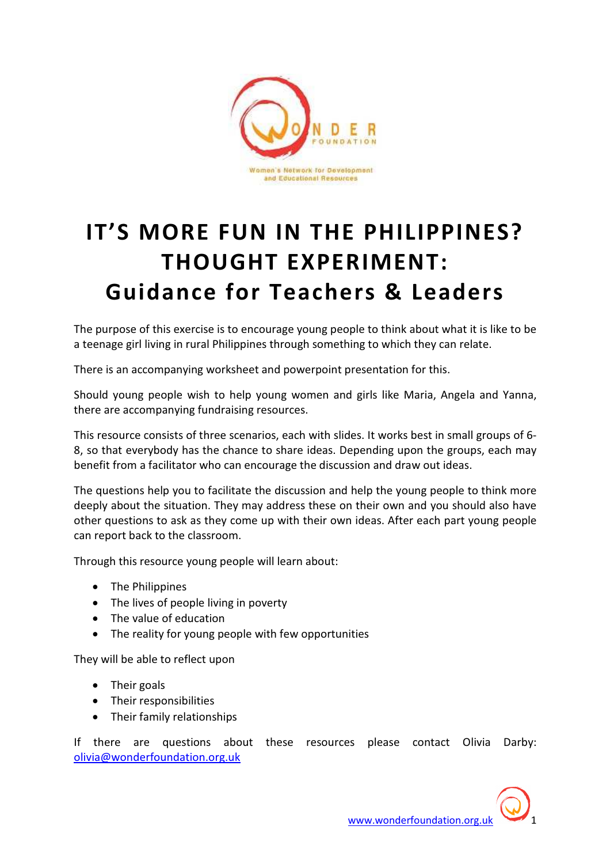

# IT'S MORE FUN IN THE PHILIPPINES? THOUGHT EXPERIMENT: Guidance for Teachers & Leaders

The purpose of this exercise is to encourage young people to think about what it is like to be a teenage girl living in rural Philippines through something to which they can relate.

There is an accompanying worksheet and powerpoint presentation for this.

Should young people wish to help young women and girls like Maria, Angela and Yanna, there are accompanying fundraising resources.

This resource consists of three scenarios, each with slides. It works best in small groups of 6- 8, so that everybody has the chance to share ideas. Depending upon the groups, each may benefit from a facilitator who can encourage the discussion and draw out ideas.

The questions help you to facilitate the discussion and help the young people to think more deeply about the situation. They may address these on their own and you should also have other questions to ask as they come up with their own ideas. After each part young people can report back to the classroom.

Through this resource young people will learn about:

- The Philippines
- The lives of people living in poverty
- The value of education
- The reality for young people with few opportunities

They will be able to reflect upon

- Their goals
- Their responsibilities
- Their family relationships

If there are questions about these resources please contact Olivia Darby: olivia@wonderfoundation.org.uk

www.wonderfoundation.org.uk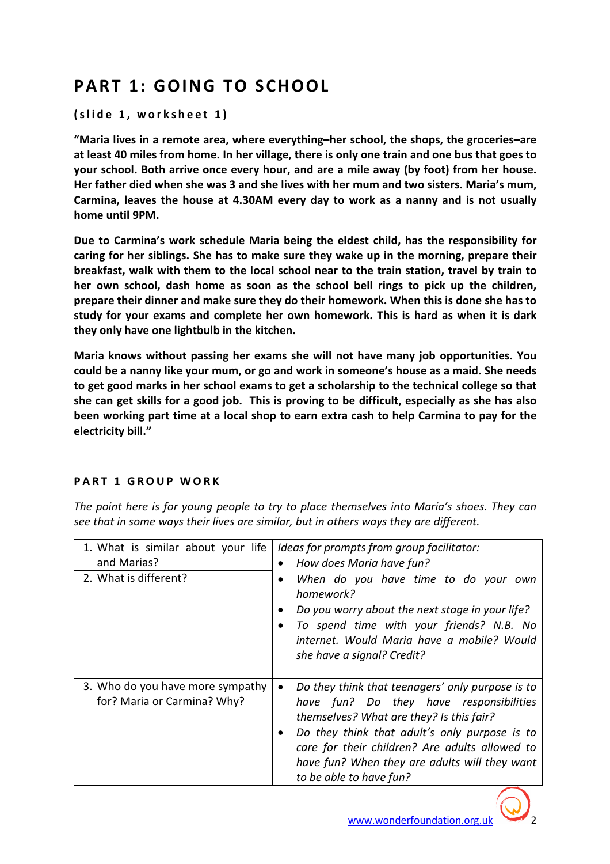# PART 1: GOING TO SCHOOL

(slide 1, worksheet 1)

"Maria lives in a remote area, where everything–her school, the shops, the groceries–are at least 40 miles from home. In her village, there is only one train and one bus that goes to your school. Both arrive once every hour, and are a mile away (by foot) from her house. Her father died when she was 3 and she lives with her mum and two sisters. Maria's mum, Carmina, leaves the house at 4.30AM every day to work as a nanny and is not usually home until 9PM.

Due to Carmina's work schedule Maria being the eldest child, has the responsibility for caring for her siblings. She has to make sure they wake up in the morning, prepare their breakfast, walk with them to the local school near to the train station, travel by train to her own school, dash home as soon as the school bell rings to pick up the children, prepare their dinner and make sure they do their homework. When this is done she has to study for your exams and complete her own homework. This is hard as when it is dark they only have one lightbulb in the kitchen.

Maria knows without passing her exams she will not have many job opportunities. You could be a nanny like your mum, or go and work in someone's house as a maid. She needs to get good marks in her school exams to get a scholarship to the technical college so that she can get skills for a good job. This is proving to be difficult, especially as she has also been working part time at a local shop to earn extra cash to help Carmina to pay for the electricity bill."

### PART 1 GROUP WORK

The point here is for young people to try to place themselves into Maria's shoes. They can see that in some ways their lives are similar, but in others ways they are different.

| 1. What is similar about your life<br>and Marias?<br>2. What is different? | Ideas for prompts from group facilitator:<br>How does Maria have fun?<br>When do you have time to do your own<br>$\bullet$<br>homework?<br>Do you worry about the next stage in your life?<br>To spend time with your friends? N.B. No<br>internet. Would Maria have a mobile? Would<br>she have a signal? Credit?                  |
|----------------------------------------------------------------------------|-------------------------------------------------------------------------------------------------------------------------------------------------------------------------------------------------------------------------------------------------------------------------------------------------------------------------------------|
| 3. Who do you have more sympathy<br>for? Maria or Carmina? Why?            | Do they think that teenagers' only purpose is to<br>$\bullet$<br>have fun? Do they have responsibilities<br>themselves? What are they? Is this fair?<br>Do they think that adult's only purpose is to<br>care for their children? Are adults allowed to<br>have fun? When they are adults will they want<br>to be able to have fun? |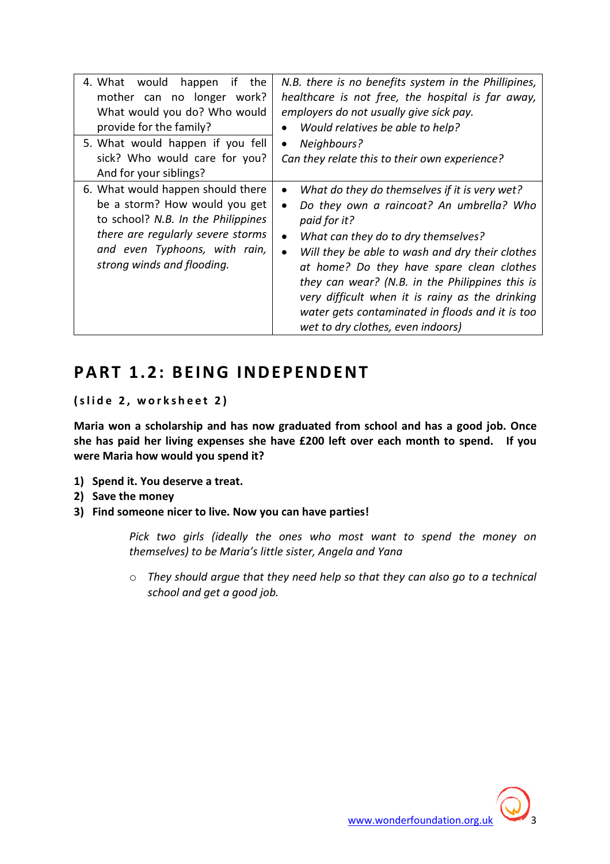| 4. What would happen<br>the<br>if<br>mother can no longer work?<br>What would you do? Who would<br>provide for the family?<br>5. What would happen if you fell<br>sick? Who would care for you?<br>And for your siblings? | N.B. there is no benefits system in the Phillipines,<br>healthcare is not free, the hospital is far away,<br>employers do not usually give sick pay.<br>Would relatives be able to help?<br>Neighbours?<br>$\bullet$<br>Can they relate this to their own experience?                                                                                                                                                                                                                              |
|---------------------------------------------------------------------------------------------------------------------------------------------------------------------------------------------------------------------------|----------------------------------------------------------------------------------------------------------------------------------------------------------------------------------------------------------------------------------------------------------------------------------------------------------------------------------------------------------------------------------------------------------------------------------------------------------------------------------------------------|
| 6. What would happen should there<br>be a storm? How would you get<br>to school? N.B. In the Philippines<br>there are regularly severe storms<br>and even Typhoons, with rain,<br>strong winds and flooding.              | What do they do themselves if it is very wet?<br>$\bullet$<br>Do they own a raincoat? An umbrella? Who<br>$\bullet$<br>paid for it?<br>What can they do to dry themselves?<br>$\bullet$<br>Will they be able to wash and dry their clothes<br>$\bullet$<br>at home? Do they have spare clean clothes<br>they can wear? (N.B. in the Philippines this is<br>very difficult when it is rainy as the drinking<br>water gets contaminated in floods and it is too<br>wet to dry clothes, even indoors) |

### PART 1.2: BEING INDEPENDENT

(slide 2, worksheet 2)

Maria won a scholarship and has now graduated from school and has a good job. Once she has paid her living expenses she have £200 left over each month to spend. If you were Maria how would you spend it?

- 1) Spend it. You deserve a treat.
- 2) Save the money
- 3) Find someone nicer to live. Now you can have parties!

Pick two girls (ideally the ones who most want to spend the money on themselves) to be Maria's little sister, Angela and Yana

o They should argue that they need help so that they can also go to a technical school and get a good job.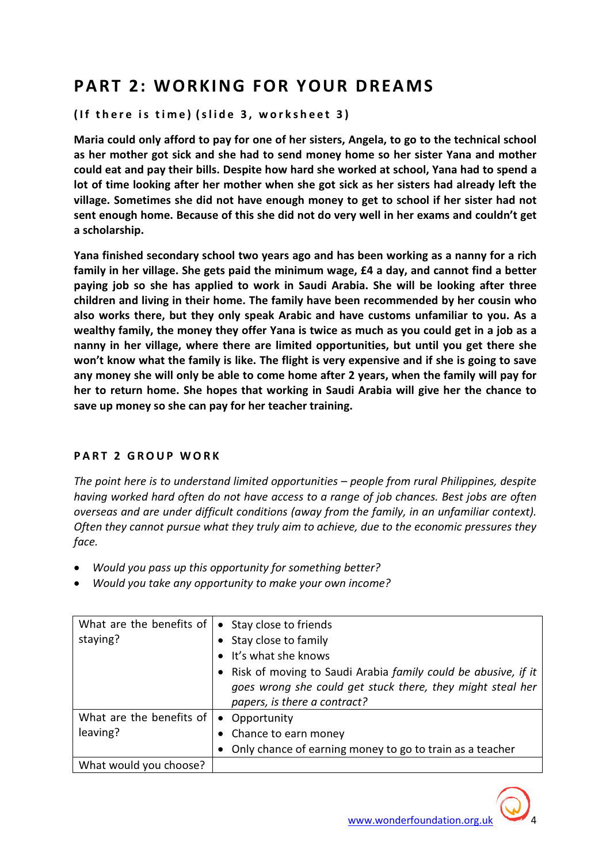# PART 2: WORKING FOR YOUR DREAMS

( If there is time) (slide 3, worksheet 3)

Maria could only afford to pay for one of her sisters, Angela, to go to the technical school as her mother got sick and she had to send money home so her sister Yana and mother could eat and pay their bills. Despite how hard she worked at school, Yana had to spend a lot of time looking after her mother when she got sick as her sisters had already left the village. Sometimes she did not have enough money to get to school if her sister had not sent enough home. Because of this she did not do very well in her exams and couldn't get a scholarship.

Yana finished secondary school two years ago and has been working as a nanny for a rich family in her village. She gets paid the minimum wage, £4 a day, and cannot find a better paying job so she has applied to work in Saudi Arabia. She will be looking after three children and living in their home. The family have been recommended by her cousin who also works there, but they only speak Arabic and have customs unfamiliar to you. As a wealthy family, the money they offer Yana is twice as much as you could get in a job as a nanny in her village, where there are limited opportunities, but until you get there she won't know what the family is like. The flight is very expensive and if she is going to save any money she will only be able to come home after 2 years, when the family will pay for her to return home. She hopes that working in Saudi Arabia will give her the chance to save up money so she can pay for her teacher training.

### PART 2 GROUP WORK

The point here is to understand limited opportunities – people from rural Philippines, despite having worked hard often do not have access to a range of job chances. Best jobs are often overseas and are under difficult conditions (away from the family, in an unfamiliar context). Often they cannot pursue what they truly aim to achieve, due to the economic pressures they face.

- Would you pass up this opportunity for something better?
- Would you take any opportunity to make your own income?

| What are the benefits of<br>staying? | • Stay close to friends<br>Stay close to family<br>• It's what she knows<br>• Risk of moving to Saudi Arabia family could be abusive, if it<br>goes wrong she could get stuck there, they might steal her<br>papers, is there a contract? |
|--------------------------------------|-------------------------------------------------------------------------------------------------------------------------------------------------------------------------------------------------------------------------------------------|
| What are the benefits of<br>leaving? | Opportunity<br>$\bullet$<br>Chance to earn money<br>Only chance of earning money to go to train as a teacher                                                                                                                              |
| What would you choose?               |                                                                                                                                                                                                                                           |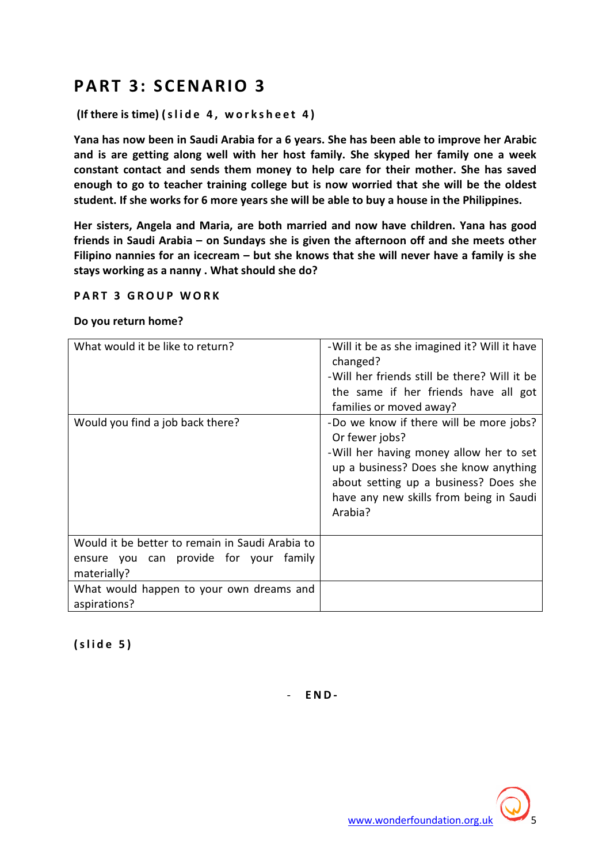### PART 3: SCENARIO 3

(If there is time) (slide  $4$ , worksheet  $4$ )

Yana has now been in Saudi Arabia for a 6 years. She has been able to improve her Arabic and is are getting along well with her host family. She skyped her family one a week constant contact and sends them money to help care for their mother. She has saved enough to go to teacher training college but is now worried that she will be the oldest student. If she works for 6 more years she will be able to buy a house in the Philippines.

Her sisters, Angela and Maria, are both married and now have children. Yana has good friends in Saudi Arabia – on Sundays she is given the afternoon off and she meets other Filipino nannies for an icecream – but she knows that she will never have a family is she stays working as a nanny . What should she do?

#### **PART 3 GROUP WORK**

#### Do you return home?

| What would it be like to return?                                                                         | - Will it be as she imagined it? Will it have<br>changed?<br>-Will her friends still be there? Will it be<br>the same if her friends have all got<br>families or moved away?                                                                 |
|----------------------------------------------------------------------------------------------------------|----------------------------------------------------------------------------------------------------------------------------------------------------------------------------------------------------------------------------------------------|
| Would you find a job back there?                                                                         | -Do we know if there will be more jobs?<br>Or fewer jobs?<br>-Will her having money allow her to set<br>up a business? Does she know anything<br>about setting up a business? Does she<br>have any new skills from being in Saudi<br>Arabia? |
| Would it be better to remain in Saudi Arabia to<br>ensure you can provide for your family<br>materially? |                                                                                                                                                                                                                                              |
| What would happen to your own dreams and<br>aspirations?                                                 |                                                                                                                                                                                                                                              |

 $(s$ lide 5)

- E N D -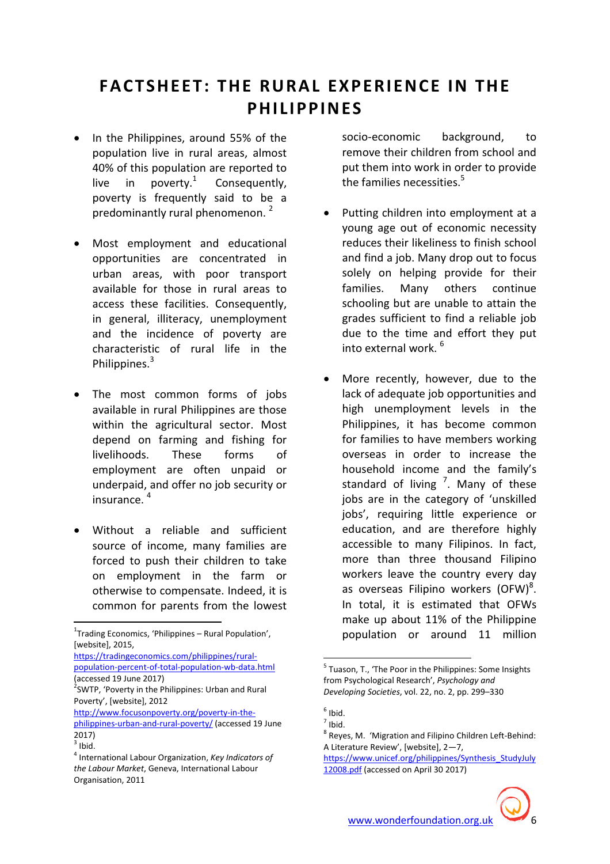# FACTSHEFT: THE RURAL EXPERIENCE IN THE PHILIPPIN<sub>FS</sub>

- In the Philippines, around 55% of the population live in rural areas, almost 40% of this population are reported to live in poverty. $1$  Consequently, poverty is frequently said to be a predominantly rural phenomenon.<sup>2</sup>
- Most employment and educational opportunities are concentrated in urban areas, with poor transport available for those in rural areas to access these facilities. Consequently, in general, illiteracy, unemployment and the incidence of poverty are characteristic of rural life in the Philippines.<sup>3</sup>
- The most common forms of jobs available in rural Philippines are those within the agricultural sector. Most depend on farming and fishing for livelihoods. These forms of employment are often unpaid or underpaid, and offer no job security or insurance. <sup>4</sup>
- Without a reliable and sufficient source of income, many families are forced to push their children to take on employment in the farm or otherwise to compensate. Indeed, it is common for parents from the lowest

l

https://tradingeconomics.com/philippines/ruralpopulation-percent-of-total-population-wb-data.html (accessed 19 June 2017)

socio-economic background, to remove their children from school and put them into work in order to provide the families necessities. $5$ 

- Putting children into employment at a young age out of economic necessity reduces their likeliness to finish school and find a job. Many drop out to focus solely on helping provide for their families. Many others continue schooling but are unable to attain the grades sufficient to find a reliable job due to the time and effort they put into external work. <sup>6</sup>
- More recently, however, due to the lack of adequate job opportunities and high unemployment levels in the Philippines, it has become common for families to have members working overseas in order to increase the household income and the family's standard of living  $\frac{7}{1}$ . Many of these jobs are in the category of 'unskilled jobs', requiring little experience or education, and are therefore highly accessible to many Filipinos. In fact, more than three thousand Filipino workers leave the country every day as overseas Filipino workers  $\overline{(OFW)}^8$ . In total, it is estimated that OFWs make up about 11% of the Philippine population or around 11 million

 $\overline{a}$ 



 $1$ Trading Economics, 'Philippines – Rural Population', [website], 2015,

 $2$ SWTP, 'Poverty in the Philippines: Urban and Rural Poverty', [website], 2012

http://www.focusonpoverty.org/poverty-in-thephilippines-urban-and-rural-poverty/ (accessed 19 June 2017)  $3$  Ibid.

<sup>&</sup>lt;sup>4</sup> International Labour Organization, Key Indicators of the Labour Market, Geneva, International Labour Organisation, 2011

<sup>&</sup>lt;sup>5</sup> Tuason, T., 'The Poor in the Philippines: Some Insights from Psychological Research', Psychology and Developing Societies, vol. 22, no. 2, pp. 299–330

 $<sup>6</sup>$  Ibid.</sup>

 $<sup>7</sup>$  Ibid.</sup>

<sup>&</sup>lt;sup>8</sup> Reyes, M. *'*Migration and Filipino Children Left-Behind: A Literature Review', [website], 2—7,

https://www.unicef.org/philippines/Synthesis\_StudyJuly 12008.pdf (accessed on April 30 2017)